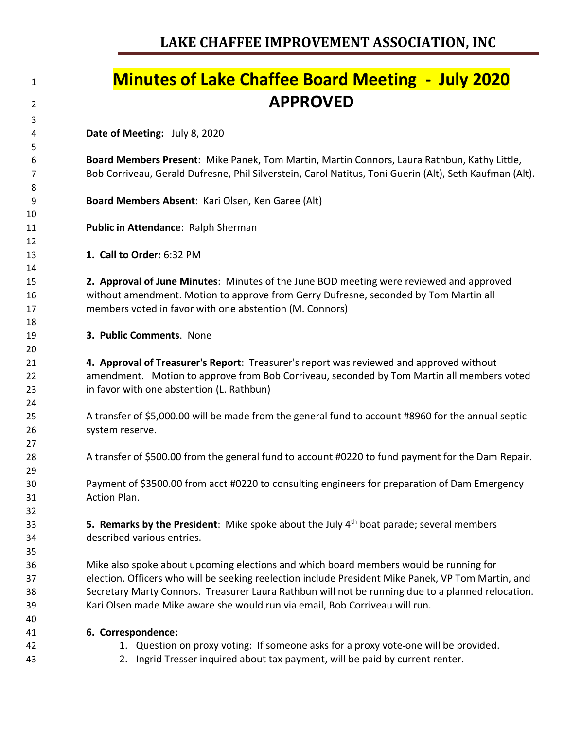### **Minutes of Lake Chaffee Board Meeting - July 2020 APPROVED Date of Meeting:** July 8, 2020 **Board Members Present**: Mike Panek, Tom Martin, Martin Connors, Laura Rathbun, Kathy Little, Bob Corriveau, Gerald Dufresne, Phil Silverstein, Carol Natitus, Toni Guerin (Alt), Seth Kaufman (Alt). **Board Members Absent**: Kari Olsen, Ken Garee (Alt) **Public in Attendance**: Ralph Sherman **1. Call to Order:** 6:32 PM **2. Approval of June Minutes**: Minutes of the June BOD meeting were reviewed and approved without amendment. Motion to approve from Gerry Dufresne, seconded by Tom Martin all members voted in favor with one abstention (M. Connors) **3. Public Comments**. None **4. Approval of Treasurer's Report**: Treasurer's report was reviewed and approved without amendment. Motion to approve from Bob Corriveau, seconded by Tom Martin all members voted in favor with one abstention (L. Rathbun) A transfer of \$5,000.00 will be made from the general fund to account #8960 for the annual septic system reserve. A transfer of \$500.00 from the general fund to account #0220 to fund payment for the Dam Repair. Payment of \$3500.00 from acct #0220 to consulting engineers for preparation of Dam Emergency Action Plan. **5. Remarks by the President**: Mike spoke about the July 4<sup>th</sup> boat parade; several members described various entries. Mike also spoke about upcoming elections and which board members would be running for election. Officers who will be seeking reelection include President Mike Panek, VP Tom Martin, and Secretary Marty Connors. Treasurer Laura Rathbun will not be running due to a planned relocation. Kari Olsen made Mike aware she would run via email, Bob Corriveau will run. **6. Correspondence:** 1. Question on proxy voting: If someone asks for a proxy vote one will be provided. 2. Ingrid Tresser inquired about tax payment, will be paid by current renter.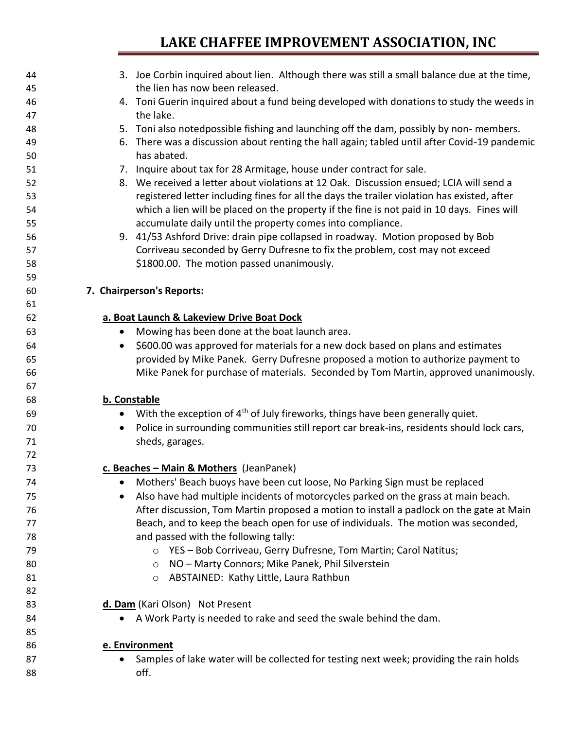| 44 | 3. Joe Corbin inquired about lien. Although there was still a small balance due at the time,            |
|----|---------------------------------------------------------------------------------------------------------|
| 45 | the lien has now been released.                                                                         |
| 46 | 4. Toni Guerin inquired about a fund being developed with donations to study the weeds in               |
| 47 | the lake.                                                                                               |
| 48 | 5. Toni also notedpossible fishing and launching off the dam, possibly by non-members.                  |
| 49 | 6. There was a discussion about renting the hall again; tabled until after Covid-19 pandemic            |
| 50 | has abated.                                                                                             |
| 51 | 7. Inquire about tax for 28 Armitage, house under contract for sale.                                    |
| 52 | 8. We received a letter about violations at 12 Oak. Discussion ensued; LCIA will send a                 |
| 53 | registered letter including fines for all the days the trailer violation has existed, after             |
| 54 | which a lien will be placed on the property if the fine is not paid in 10 days. Fines will              |
| 55 | accumulate daily until the property comes into compliance.                                              |
| 56 | 9. 41/53 Ashford Drive: drain pipe collapsed in roadway. Motion proposed by Bob                         |
| 57 | Corriveau seconded by Gerry Dufresne to fix the problem, cost may not exceed                            |
| 58 | \$1800.00. The motion passed unanimously.                                                               |
| 59 |                                                                                                         |
| 60 | 7. Chairperson's Reports:                                                                               |
| 61 |                                                                                                         |
| 62 | a. Boat Launch & Lakeview Drive Boat Dock                                                               |
| 63 | Mowing has been done at the boat launch area.<br>$\bullet$                                              |
| 64 | \$600.00 was approved for materials for a new dock based on plans and estimates<br>$\bullet$            |
| 65 | provided by Mike Panek. Gerry Dufresne proposed a motion to authorize payment to                        |
| 66 | Mike Panek for purchase of materials. Seconded by Tom Martin, approved unanimously.                     |
| 67 |                                                                                                         |
| 68 | b. Constable                                                                                            |
| 69 | With the exception of 4 <sup>th</sup> of July fireworks, things have been generally quiet.<br>$\bullet$ |
| 70 | Police in surrounding communities still report car break-ins, residents should lock cars,<br>$\bullet$  |
| 71 | sheds, garages.                                                                                         |
| 72 |                                                                                                         |
| 73 | c. Beaches - Main & Mothers (JeanPanek)                                                                 |
| 74 | Mothers' Beach buoys have been cut loose, No Parking Sign must be replaced                              |
| 75 | Also have had multiple incidents of motorcycles parked on the grass at main beach.<br>$\bullet$         |
| 76 | After discussion, Tom Martin proposed a motion to install a padlock on the gate at Main                 |
| 77 | Beach, and to keep the beach open for use of individuals. The motion was seconded,                      |
| 78 | and passed with the following tally:                                                                    |
| 79 | ○ YES - Bob Corriveau, Gerry Dufresne, Tom Martin; Carol Natitus;                                       |
| 80 | NO - Marty Connors; Mike Panek, Phil Silverstein<br>$\circ$                                             |
| 81 | ABSTAINED: Kathy Little, Laura Rathbun<br>$\circ$                                                       |
| 82 |                                                                                                         |
| 83 | d. Dam (Kari Olson) Not Present                                                                         |
| 84 | A Work Party is needed to rake and seed the swale behind the dam.<br>$\bullet$                          |
| 85 |                                                                                                         |
| 86 | e. Environment                                                                                          |
| 87 | Samples of lake water will be collected for testing next week; providing the rain holds                 |
| 88 | off.                                                                                                    |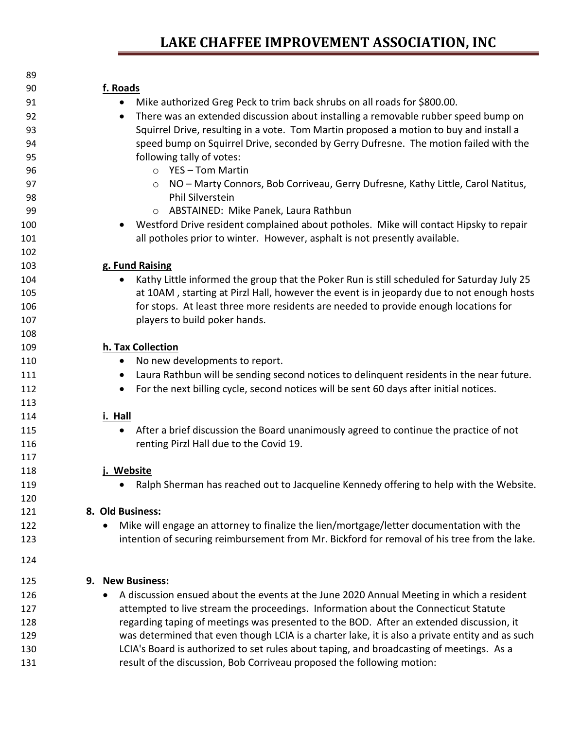| 89  |                                                                                                         |
|-----|---------------------------------------------------------------------------------------------------------|
| 90  | f. Roads                                                                                                |
| 91  | Mike authorized Greg Peck to trim back shrubs on all roads for \$800.00.<br>$\bullet$                   |
| 92  | There was an extended discussion about installing a removable rubber speed bump on<br>$\bullet$         |
| 93  | Squirrel Drive, resulting in a vote. Tom Martin proposed a motion to buy and install a                  |
| 94  | speed bump on Squirrel Drive, seconded by Gerry Dufresne. The motion failed with the                    |
| 95  | following tally of votes:                                                                               |
| 96  | $\circ$ YES - Tom Martin                                                                                |
| 97  | NO - Marty Connors, Bob Corriveau, Gerry Dufresne, Kathy Little, Carol Natitus,<br>$\circ$              |
| 98  | Phil Silverstein                                                                                        |
| 99  | O ABSTAINED: Mike Panek, Laura Rathbun                                                                  |
| 100 | Westford Drive resident complained about potholes. Mike will contact Hipsky to repair                   |
| 101 | all potholes prior to winter. However, asphalt is not presently available.                              |
| 102 |                                                                                                         |
| 103 | g. Fund Raising                                                                                         |
| 104 | Kathy Little informed the group that the Poker Run is still scheduled for Saturday July 25<br>$\bullet$ |
| 105 | at 10AM, starting at Pirzl Hall, however the event is in jeopardy due to not enough hosts               |
| 106 | for stops. At least three more residents are needed to provide enough locations for                     |
| 107 | players to build poker hands.                                                                           |
| 108 |                                                                                                         |
| 109 | h. Tax Collection                                                                                       |
| 110 | No new developments to report.<br>$\bullet$                                                             |
| 111 | Laura Rathbun will be sending second notices to delinquent residents in the near future.<br>$\bullet$   |
| 112 | For the next billing cycle, second notices will be sent 60 days after initial notices.                  |
| 113 |                                                                                                         |
| 114 | i. Hall                                                                                                 |
| 115 | After a brief discussion the Board unanimously agreed to continue the practice of not<br>$\bullet$      |
| 116 | renting Pirzl Hall due to the Covid 19.                                                                 |
| 117 |                                                                                                         |
| 118 | Website                                                                                                 |
| 119 | Ralph Sherman has reached out to Jacqueline Kennedy offering to help with the Website.                  |
| 120 |                                                                                                         |
| 121 | 8. Old Business:                                                                                        |
| 122 | Mike will engage an attorney to finalize the lien/mortgage/letter documentation with the<br>$\bullet$   |
| 123 | intention of securing reimbursement from Mr. Bickford for removal of his tree from the lake.            |
| 124 |                                                                                                         |
| 125 | 9. New Business:                                                                                        |
| 126 | A discussion ensued about the events at the June 2020 Annual Meeting in which a resident<br>٠           |
| 127 | attempted to live stream the proceedings. Information about the Connecticut Statute                     |
| 128 | regarding taping of meetings was presented to the BOD. After an extended discussion, it                 |
| 129 | was determined that even though LCIA is a charter lake, it is also a private entity and as such         |
| 130 | LCIA's Board is authorized to set rules about taping, and broadcasting of meetings. As a                |
| 131 | result of the discussion, Bob Corriveau proposed the following motion:                                  |